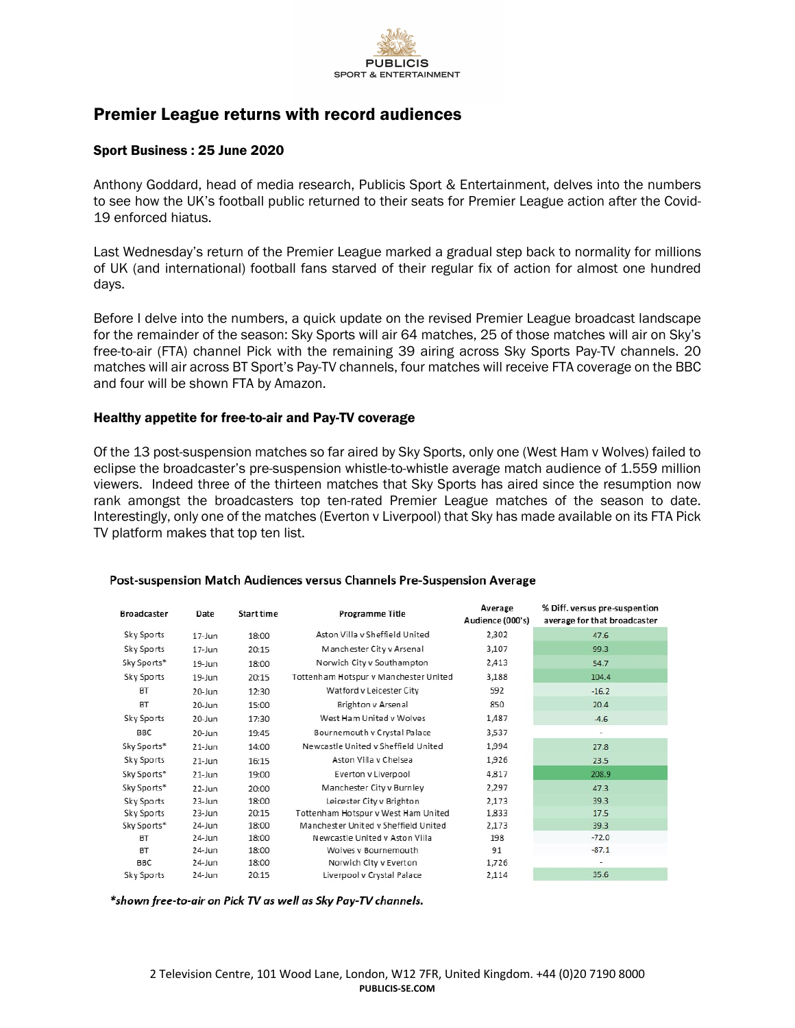

# Premier League returns with record audiences

## Sport Business : 25 June 2020

Anthony Goddard, head of media research, Publicis Sport & Entertainment, delves into the numbers to see how the UK's football public returned to their seats for Premier League action after the Covid-19 enforced hiatus.

Last Wednesday's return of the Premier League marked a gradual step back to normality for millions of UK (and international) football fans starved of their regular fix of action for almost one hundred days.

Before I delve into the numbers, a quick update on the revised Premier League broadcast landscape for the remainder of the season: Sky Sports will air 64 matches, 25 of those matches will air on Sky's free-to-air (FTA) channel Pick with the remaining 39 airing across Sky Sports Pay-TV channels. 20 matches will air across BT Sport's Pay-TV channels, four matches will receive FTA coverage on the BBC and four will be shown FTA by Amazon.

# Healthy appetite for free-to-air and Pay-TV coverage

Of the 13 post-suspension matches so far aired by Sky Sports, only one (West Ham v Wolves) failed to eclipse the broadcaster's pre-suspension whistle-to-whistle average match audience of 1.559 million viewers. Indeed three of the thirteen matches that Sky Sports has aired since the resumption now rank amongst the broadcasters top ten-rated Premier League matches of the season to date. Interestingly, only one of the matches (Everton v Liverpool) that Sky has made available on its FTA Pick TV platform makes that top ten list.

| <b>Broadcaster</b> | Date       | Start time | <b>Programme Title</b>                | Average<br>Audience (000's) | % Diff. versus pre-suspention<br>average for that broadcaster |
|--------------------|------------|------------|---------------------------------------|-----------------------------|---------------------------------------------------------------|
| Sky Sports         | $17 - Jun$ | 18:00      | Aston Villa y Sheffield United        | 2,302                       | 47.6                                                          |
| Sky Sports         | $17 - Jun$ | 20:15      | Manchester City v Arsenal             | 3,107                       | 99.3                                                          |
| Sky Sports*        | 19-Jun     | 18:00      | Norwich City v Southampton            | 2,413                       | 54.7                                                          |
| Sky Sports         | 19-Jun     | 20:15      | Tottenham Hotspur v Manchester United | 3,188                       | 104.4                                                         |
| BT                 | 20-Jun     | 12:30      | Watford v Leicester City              | 592                         | $-16.2$                                                       |
| BT                 | 20-Jun     | 15:00      | Brighton v Arsenal                    | 850                         | 20.4                                                          |
| Sky Sports         | 20-Jun     | 17:30      | West Ham United v Wolves              | 1,487                       | $-4.6$                                                        |
| <b>BBC</b>         | $20$ -Jun  | 19:45      | Bournemouth v Crystal Palace          | 3,537                       | ٠                                                             |
| Sky Sports*        | $21$ -Jun  | 14:00      | Newcastle United v Sheffield United   | 1,994                       | 27.8                                                          |
| Sky Sports         | $21$ -Jun  | 16:15      | Aston Villa v Chelsea                 | 1,926                       | 23.5                                                          |
| Sky Sports*        | $21$ -Jun  | 19:00      | Everton v Liverpool                   | 4,817                       | 208.9                                                         |
| Sky Sports*        | $22$ -Jun  | 20:00      | Manchester City v Burnley             | 2,297                       | 47.3                                                          |
| Sky Sports         | $23$ -Jun  | 18:00      | Leicester City v Brighton             | 2,173                       | 39.3                                                          |
| Sky Sports         | 23-Jun     | 20:15      | Tottenham Hotspur v West Ham United   | 1,833                       | 17.5                                                          |
| Sky Sports*        | 24-Jun     | 18:00      | Manchester United y Sheffield United  | 2,173                       | 39.3                                                          |
| <b>BT</b>          | 24-Jun     | 18:00      | Newcastle United v Aston Villa        | 198                         | $-72.0$                                                       |
| BT                 | $24$ -Jun  | 18:00      | Wolves y Bournemouth                  | 91                          | $-87.1$                                                       |
| <b>BBC</b>         | 24-Jun     | 18:00      | Norwich City v Everton                | 1,726                       |                                                               |
| Sky Sports         | 24-Jun     | 20:15      | Liverpool v Crystal Palace            | 2,114                       | 35.6                                                          |

#### Post-suspension Match Audiences versus Channels Pre-Suspension Average

\*shown free-to-air on Pick TV as well as Sky Pay-TV channels.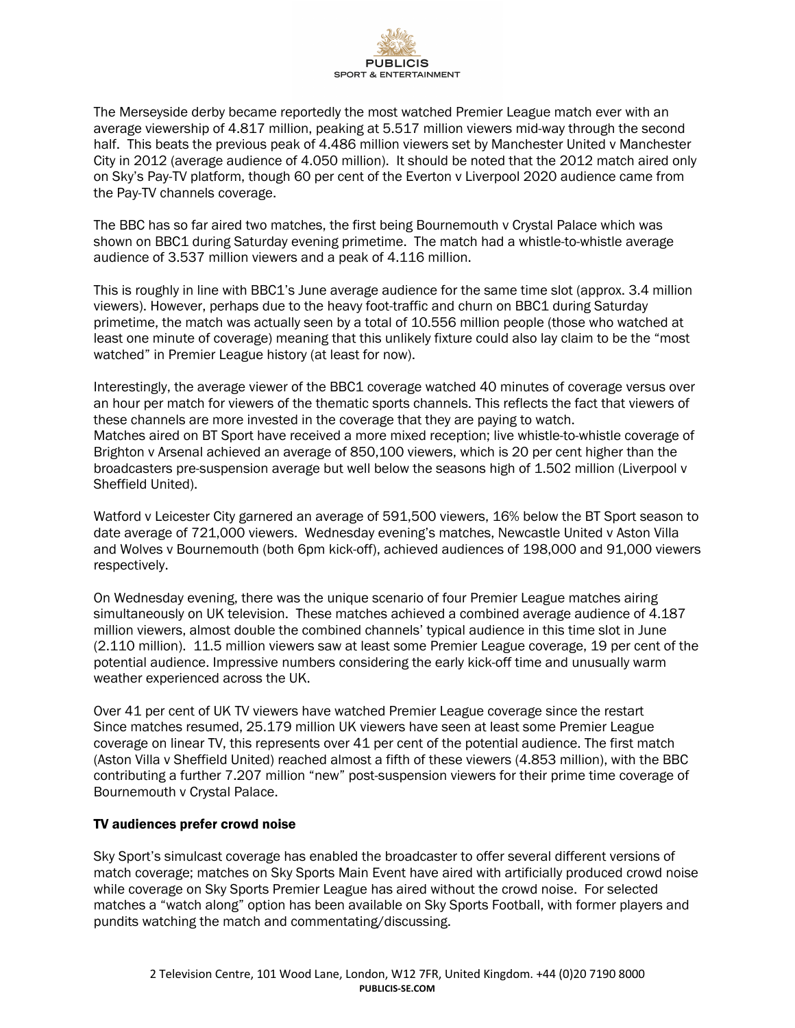

The Merseyside derby became reportedly the most watched Premier League match ever with an average viewership of 4.817 million, peaking at 5.517 million viewers mid-way through the second half. This beats the previous peak of 4.486 million viewers set by Manchester United v Manchester City in 2012 (average audience of 4.050 million). It should be noted that the 2012 match aired only on Sky's Pay-TV platform, though 60 per cent of the Everton v Liverpool 2020 audience came from the Pay-TV channels coverage.

The BBC has so far aired two matches, the first being Bournemouth v Crystal Palace which was shown on BBC1 during Saturday evening primetime. The match had a whistle-to-whistle average audience of 3.537 million viewers and a peak of 4.116 million.

This is roughly in line with BBC1's June average audience for the same time slot (approx. 3.4 million viewers). However, perhaps due to the heavy foot-traffic and churn on BBC1 during Saturday primetime, the match was actually seen by a total of 10.556 million people (those who watched at least one minute of coverage) meaning that this unlikely fixture could also lay claim to be the "most watched" in Premier League history (at least for now).

Interestingly, the average viewer of the BBC1 coverage watched 40 minutes of coverage versus over an hour per match for viewers of the thematic sports channels. This reflects the fact that viewers of these channels are more invested in the coverage that they are paying to watch. Matches aired on BT Sport have received a more mixed reception; live whistle-to-whistle coverage of Brighton v Arsenal achieved an average of 850,100 viewers, which is 20 per cent higher than the broadcasters pre-suspension average but well below the seasons high of 1.502 million (Liverpool v Sheffield United).

Watford v Leicester City garnered an average of 591,500 viewers, 16% below the BT Sport season to date average of 721,000 viewers. Wednesday evening's matches, Newcastle United v Aston Villa and Wolves v Bournemouth (both 6pm kick-off), achieved audiences of 198,000 and 91,000 viewers respectively.

On Wednesday evening, there was the unique scenario of four Premier League matches airing simultaneously on UK television. These matches achieved a combined average audience of 4.187 million viewers, almost double the combined channels' typical audience in this time slot in June (2.110 million). 11.5 million viewers saw at least some Premier League coverage, 19 per cent of the potential audience. Impressive numbers considering the early kick-off time and unusually warm weather experienced across the UK.

Over 41 per cent of UK TV viewers have watched Premier League coverage since the restart Since matches resumed, 25.179 million UK viewers have seen at least some Premier League coverage on linear TV, this represents over 41 per cent of the potential audience. The first match (Aston Villa v Sheffield United) reached almost a fifth of these viewers (4.853 million), with the BBC contributing a further 7.207 million "new" post-suspension viewers for their prime time coverage of Bournemouth v Crystal Palace.

# TV audiences prefer crowd noise

Sky Sport's simulcast coverage has enabled the broadcaster to offer several different versions of match coverage; matches on Sky Sports Main Event have aired with artificially produced crowd noise while coverage on Sky Sports Premier League has aired without the crowd noise. For selected matches a "watch along" option has been available on Sky Sports Football, with former players and pundits watching the match and commentating/discussing.